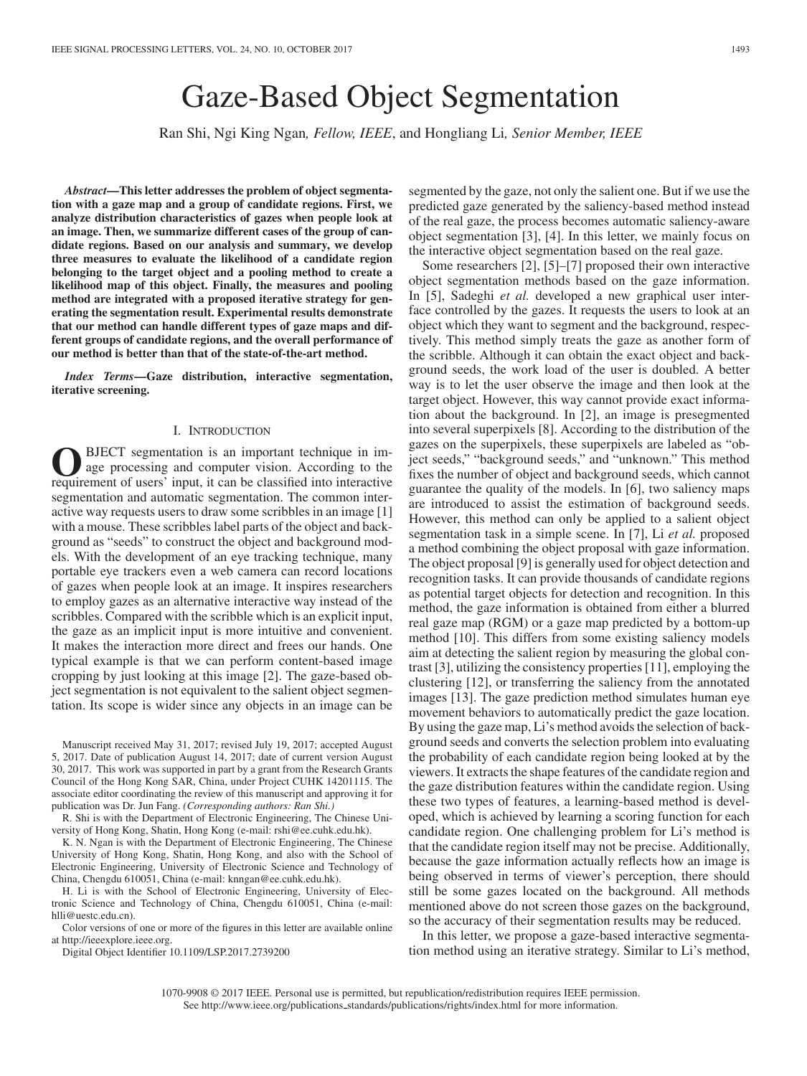# Gaze-Based Object Segmentation

Ran Shi, Ngi King Ngan*, Fellow, IEEE*, and Hongliang Li*, Senior Member, IEEE*

*Abstract***—This letter addresses the problem of object segmentation with a gaze map and a group of candidate regions. First, we analyze distribution characteristics of gazes when people look at an image. Then, we summarize different cases of the group of candidate regions. Based on our analysis and summary, we develop three measures to evaluate the likelihood of a candidate region belonging to the target object and a pooling method to create a likelihood map of this object. Finally, the measures and pooling method are integrated with a proposed iterative strategy for generating the segmentation result. Experimental results demonstrate that our method can handle different types of gaze maps and different groups of candidate regions, and the overall performance of our method is better than that of the state-of-the-art method.**

*Index Terms***—Gaze distribution, interactive segmentation, iterative screening.**

#### I. INTRODUCTION

BJECT segmentation is an important technique in image processing and computer vision. According to the requirement of users' input, it can be classified into interactive segmentation and automatic segmentation. The common interactive way requests users to draw some scribbles in an image [1] with a mouse. These scribbles label parts of the object and background as "seeds" to construct the object and background models. With the development of an eye tracking technique, many portable eye trackers even a web camera can record locations of gazes when people look at an image. It inspires researchers to employ gazes as an alternative interactive way instead of the scribbles. Compared with the scribble which is an explicit input, the gaze as an implicit input is more intuitive and convenient. It makes the interaction more direct and frees our hands. One typical example is that we can perform content-based image cropping by just looking at this image [2]. The gaze-based object segmentation is not equivalent to the salient object segmentation. Its scope is wider since any objects in an image can be

Manuscript received May 31, 2017; revised July 19, 2017; accepted August 5, 2017. Date of publication August 14, 2017; date of current version August 30, 2017. This work was supported in part by a grant from the Research Grants Council of the Hong Kong SAR, China, under Project CUHK 14201115. The associate editor coordinating the review of this manuscript and approving it for publication was Dr. Jun Fang. *(Corresponding authors: Ran Shi.)*

R. Shi is with the Department of Electronic Engineering, The Chinese University of Hong Kong, Shatin, Hong Kong (e-mail: rshi@ee.cuhk.edu.hk).

K. N. Ngan is with the Department of Electronic Engineering, The Chinese University of Hong Kong, Shatin, Hong Kong, and also with the School of Electronic Engineering, University of Electronic Science and Technology of China, Chengdu 610051, China (e-mail: knngan@ee.cuhk.edu.hk).

H. Li is with the School of Electronic Engineering, University of Electronic Science and Technology of China, Chengdu 610051, China (e-mail: hlli@uestc.edu.cn).

Color versions of one or more of the figures in this letter are available online at http://ieeexplore.ieee.org.

Digital Object Identifier 10.1109/LSP.2017.2739200

segmented by the gaze, not only the salient one. But if we use the predicted gaze generated by the saliency-based method instead of the real gaze, the process becomes automatic saliency-aware object segmentation [3], [4]. In this letter, we mainly focus on the interactive object segmentation based on the real gaze.

Some researchers [2], [5]–[7] proposed their own interactive object segmentation methods based on the gaze information. In [5], Sadeghi *et al.* developed a new graphical user interface controlled by the gazes. It requests the users to look at an object which they want to segment and the background, respectively. This method simply treats the gaze as another form of the scribble. Although it can obtain the exact object and background seeds, the work load of the user is doubled. A better way is to let the user observe the image and then look at the target object. However, this way cannot provide exact information about the background. In [2], an image is presegmented into several superpixels [8]. According to the distribution of the gazes on the superpixels, these superpixels are labeled as "object seeds," "background seeds," and "unknown." This method fixes the number of object and background seeds, which cannot guarantee the quality of the models. In [6], two saliency maps are introduced to assist the estimation of background seeds. However, this method can only be applied to a salient object segmentation task in a simple scene. In [7], Li *et al.* proposed a method combining the object proposal with gaze information. The object proposal [9] is generally used for object detection and recognition tasks. It can provide thousands of candidate regions as potential target objects for detection and recognition. In this method, the gaze information is obtained from either a blurred real gaze map (RGM) or a gaze map predicted by a bottom-up method [10]. This differs from some existing saliency models aim at detecting the salient region by measuring the global contrast [3], utilizing the consistency properties [11], employing the clustering [12], or transferring the saliency from the annotated images [13]. The gaze prediction method simulates human eye movement behaviors to automatically predict the gaze location. By using the gaze map, Li's method avoids the selection of background seeds and converts the selection problem into evaluating the probability of each candidate region being looked at by the viewers. It extracts the shape features of the candidate region and the gaze distribution features within the candidate region. Using these two types of features, a learning-based method is developed, which is achieved by learning a scoring function for each candidate region. One challenging problem for Li's method is that the candidate region itself may not be precise. Additionally, because the gaze information actually reflects how an image is being observed in terms of viewer's perception, there should still be some gazes located on the background. All methods mentioned above do not screen those gazes on the background, so the accuracy of their segmentation results may be reduced.

In this letter, we propose a gaze-based interactive segmentation method using an iterative strategy. Similar to Li's method,

1070-9908 © 2017 IEEE. Personal use is permitted, but republication/redistribution requires IEEE permission. See http://www.ieee.org/publications.standards/publications/rights/index.html for more information.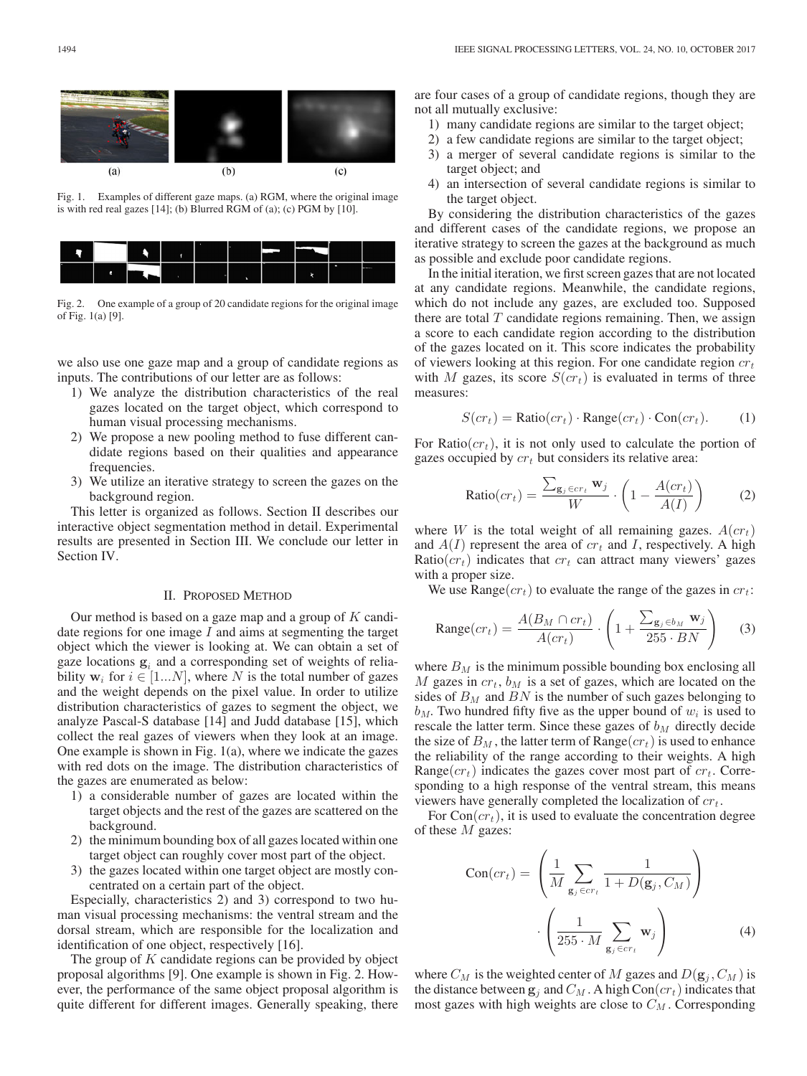

Fig. 1. Examples of different gaze maps. (a) RGM, where the original image is with red real gazes [14]; (b) Blurred RGM of (a); (c) PGM by [10].



Fig. 2. One example of a group of 20 candidate regions for the original image of Fig. 1(a) [9].

we also use one gaze map and a group of candidate regions as inputs. The contributions of our letter are as follows:

- 1) We analyze the distribution characteristics of the real gazes located on the target object, which correspond to human visual processing mechanisms.
- 2) We propose a new pooling method to fuse different candidate regions based on their qualities and appearance frequencies.
- 3) We utilize an iterative strategy to screen the gazes on the background region.

This letter is organized as follows. Section II describes our interactive object segmentation method in detail. Experimental results are presented in Section III. We conclude our letter in Section IV.

#### II. PROPOSED METHOD

Our method is based on a gaze map and a group of  $K$  candidate regions for one image  $I$  and aims at segmenting the target object which the viewer is looking at. We can obtain a set of gaze locations  $g_i$  and a corresponding set of weights of reliability  $w_i$  for  $i \in [1...N]$ , where N is the total number of gazes and the weight depends on the pixel value. In order to utilize distribution characteristics of gazes to segment the object, we analyze Pascal-S database [14] and Judd database [15], which collect the real gazes of viewers when they look at an image. One example is shown in Fig. 1(a), where we indicate the gazes with red dots on the image. The distribution characteristics of the gazes are enumerated as below:

- 1) a considerable number of gazes are located within the target objects and the rest of the gazes are scattered on the background.
- 2) the minimum bounding box of all gazes located within one target object can roughly cover most part of the object.
- 3) the gazes located within one target object are mostly concentrated on a certain part of the object.

Especially, characteristics 2) and 3) correspond to two human visual processing mechanisms: the ventral stream and the dorsal stream, which are responsible for the localization and identification of one object, respectively [16].

The group of K candidate regions can be provided by object proposal algorithms [9]. One example is shown in Fig. 2. However, the performance of the same object proposal algorithm is quite different for different images. Generally speaking, there are four cases of a group of candidate regions, though they are not all mutually exclusive:

- 1) many candidate regions are similar to the target object;
- 2) a few candidate regions are similar to the target object;
- 3) a merger of several candidate regions is similar to the target object; and
- 4) an intersection of several candidate regions is similar to the target object.

By considering the distribution characteristics of the gazes and different cases of the candidate regions, we propose an iterative strategy to screen the gazes at the background as much as possible and exclude poor candidate regions.

In the initial iteration, we first screen gazes that are not located at any candidate regions. Meanwhile, the candidate regions, which do not include any gazes, are excluded too. Supposed there are total  $T$  candidate regions remaining. Then, we assign a score to each candidate region according to the distribution of the gazes located on it. This score indicates the probability of viewers looking at this region. For one candidate region  $cr<sub>t</sub>$ with M gazes, its score  $S(cr_t)$  is evaluated in terms of three measures:

$$
S(c r_t) = \text{Ratio}(c r_t) \cdot \text{Range}(c r_t) \cdot \text{Con}(c r_t). \tag{1}
$$

For Ratio( $cr<sub>t</sub>$ ), it is not only used to calculate the portion of gazes occupied by  $cr_t$  but considers its relative area:

$$
Ratio(c r_t) = \frac{\sum_{\mathbf{g}_j \in cr_t} \mathbf{w}_j}{W} \cdot \left(1 - \frac{A(c r_t)}{A(I)}\right) \tag{2}
$$

where W is the total weight of all remaining gazes.  $A(c r_t)$ and  $A(I)$  represent the area of  $cr_t$  and I, respectively. A high  $Ratio(crt)$  indicates that  $cr_t$  can attract many viewers' gazes with a proper size.

We use Range( $cr_t$ ) to evaluate the range of the gazes in  $cr_t$ :

$$
\text{Range}(cr_t) = \frac{A(B_M \cap cr_t)}{A(cr_t)} \cdot \left(1 + \frac{\sum_{\mathbf{g}_j \in b_M} \mathbf{w}_j}{255 \cdot BN}\right) \tag{3}
$$

where  $B_M$  is the minimum possible bounding box enclosing all M gazes in  $cr_t$ ,  $b_M$  is a set of gazes, which are located on the sides of  $B_M$  and  $BN$  is the number of such gazes belonging to  $b_M$ . Two hundred fifty five as the upper bound of  $w_i$  is used to rescale the latter term. Since these gazes of  $b_M$  directly decide the size of  $B_M$ , the latter term of Range $(cr_t)$  is used to enhance the reliability of the range according to their weights. A high Range( $cr_t$ ) indicates the gazes cover most part of  $cr_t$ . Corresponding to a high response of the ventral stream, this means viewers have generally completed the localization of  $cr_t$ .

For  $Con(c_{t})$ , it is used to evaluate the concentration degree of these  $M$  gazes:

$$
Con(c r_t) = \left(\frac{1}{M} \sum_{\mathbf{g}_j \in cr_t} \frac{1}{1 + D(\mathbf{g}_j, C_M)}\right)
$$

$$
\cdot \left(\frac{1}{255 \cdot M} \sum_{\mathbf{g}_j \in cr_t} \mathbf{w}_j\right) \tag{4}
$$

where  $C_M$  is the weighted center of M gazes and  $D(\mathbf{g}_i, C_M)$  is the distance between  $\mathbf{g}_i$  and  $C_M$ . A high Con( $cr_t$ ) indicates that most gazes with high weights are close to  $C_M$ . Corresponding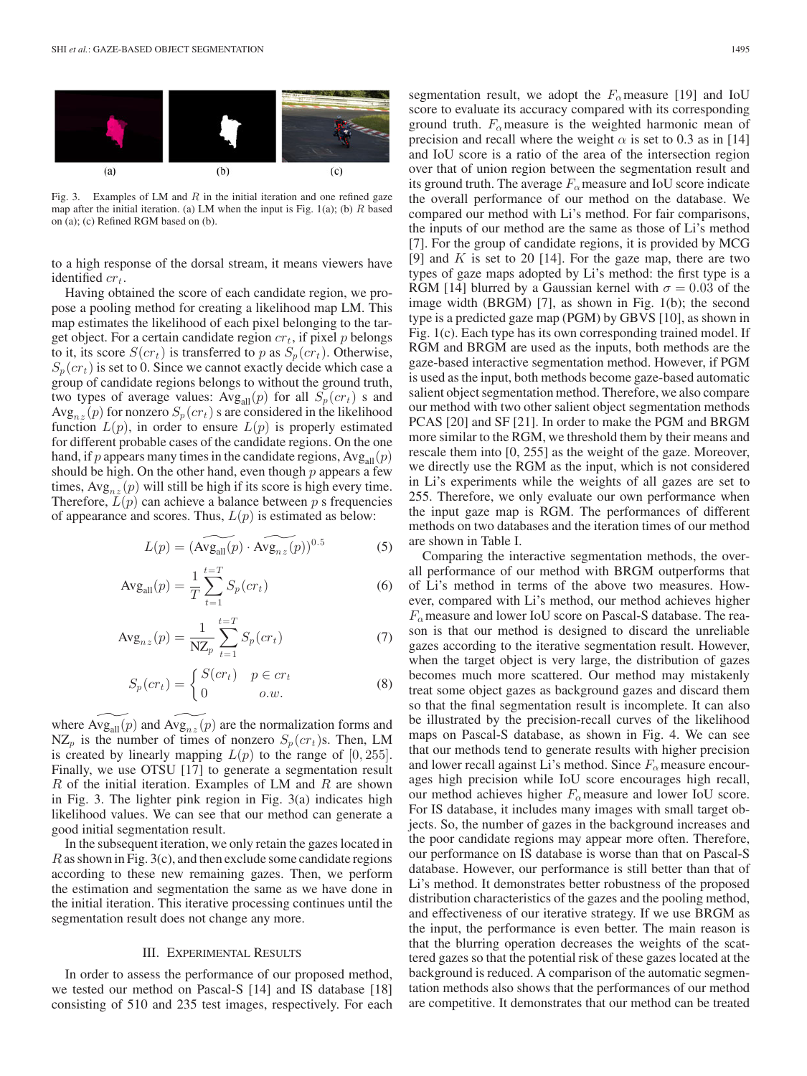

Fig. 3. Examples of LM and  $R$  in the initial iteration and one refined gaze map after the initial iteration. (a) LM when the input is Fig. 1(a); (b)  $R$  based on (a); (c) Refined RGM based on (b).

to a high response of the dorsal stream, it means viewers have identified  $cr_t$ .

Having obtained the score of each candidate region, we propose a pooling method for creating a likelihood map LM. This map estimates the likelihood of each pixel belonging to the target object. For a certain candidate region  $cr_t$ , if pixel p belongs to it, its score  $S(cr_t)$  is transferred to p as  $S_p(cr_t)$ . Otherwise,  $S_p (cr_t)$  is set to 0. Since we cannot exactly decide which case a group of candidate regions belongs to without the ground truth, two types of average values:  $Avg_{all}(p)$  for all  $S_p (cr_t)$  s and  $Avg_{nz}(p)$  for nonzero  $S_p(cr_t)$  s are considered in the likelihood function  $L(p)$ , in order to ensure  $L(p)$  is properly estimated for different probable cases of the candidate regions. On the one hand, if p appears many times in the candidate regions,  $Avg_{all}(p)$ should be high. On the other hand, even though  $p$  appears a few times,  $Avg_{nz}(p)$  will still be high if its score is high every time. Therefore,  $\widetilde{L}(p)$  can achieve a balance between p s frequencies<br>of appearance and scores. Thus,  $L(p)$  is estimated as below:<br> $L(p) = (\widetilde{Avg_{all}(p)} \cdot \widetilde{Avg_{nz}(p)})^{0.5}$  (5) of appearance and scores. Thus,  $L(p)$  is estimated as below:

$$
L(p) = (\widetilde{\text{Avg}_{\text{all}}(p)} \cdot \widetilde{\text{Avg}_{nz}(p)})^{0.5}
$$
 (5)

$$
Avg_{all}(p) = \frac{1}{T} \sum_{t=1}^{t=T} S_p(c r_t)
$$
 (6)

$$
Avg_{nz}(p) = \frac{1}{NZ_p} \sum_{t=1}^{t=T} S_p(c r_t)
$$
\n(7)

$$
S_p(c r_t) = \begin{cases} S(c r_t) & p \in cr_t \\ 0 & o.w. \end{cases}
$$
 (8)  
where  $\widetilde{\text{Avg}_{\text{all}}(p)}$  and  $\widetilde{\text{Avg}_{nz}(p)}$  are the normalization forms and

 $NZ_p$  is the number of times of nonzero  $S_p (cr_t)$ s. Then, LM is created by linearly mapping  $L(p)$  to the range of  $[0, 255]$ . Finally, we use OTSU [17] to generate a segmentation result  $R$  of the initial iteration. Examples of LM and  $R$  are shown in Fig. 3. The lighter pink region in Fig. 3(a) indicates high likelihood values. We can see that our method can generate a good initial segmentation result.

In the subsequent iteration, we only retain the gazes located in  $R$  as shown in Fig. 3(c), and then exclude some candidate regions according to these new remaining gazes. Then, we perform the estimation and segmentation the same as we have done in the initial iteration. This iterative processing continues until the segmentation result does not change any more.

#### III. EXPERIMENTAL RESULTS

In order to assess the performance of our proposed method, we tested our method on Pascal-S [14] and IS database [18] consisting of 510 and 235 test images, respectively. For each segmentation result, we adopt the  $F_\alpha$  measure [19] and IoU score to evaluate its accuracy compared with its corresponding ground truth.  $F_{\alpha}$  measure is the weighted harmonic mean of precision and recall where the weight  $\alpha$  is set to 0.3 as in [14] and IoU score is a ratio of the area of the intersection region over that of union region between the segmentation result and its ground truth. The average  $F_{\alpha}$  measure and IoU score indicate the overall performance of our method on the database. We compared our method with Li's method. For fair comparisons, the inputs of our method are the same as those of Li's method [7]. For the group of candidate regions, it is provided by MCG [9] and  $K$  is set to 20 [14]. For the gaze map, there are two types of gaze maps adopted by Li's method: the first type is a RGM [14] blurred by a Gaussian kernel with  $\sigma = 0.03$  of the image width (BRGM) [7], as shown in Fig. 1(b); the second type is a predicted gaze map (PGM) by GBVS [10], as shown in Fig. 1(c). Each type has its own corresponding trained model. If RGM and BRGM are used as the inputs, both methods are the gaze-based interactive segmentation method. However, if PGM is used as the input, both methods become gaze-based automatic salient object segmentation method. Therefore, we also compare our method with two other salient object segmentation methods PCAS [20] and SF [21]. In order to make the PGM and BRGM more similar to the RGM, we threshold them by their means and rescale them into [0, 255] as the weight of the gaze. Moreover, we directly use the RGM as the input, which is not considered in Li's experiments while the weights of all gazes are set to 255. Therefore, we only evaluate our own performance when the input gaze map is RGM. The performances of different methods on two databases and the iteration times of our method are shown in Table I.

Comparing the interactive segmentation methods, the overall performance of our method with BRGM outperforms that of Li's method in terms of the above two measures. However, compared with Li's method, our method achieves higher  $F_{\alpha}$  measure and lower IoU score on Pascal-S database. The reason is that our method is designed to discard the unreliable gazes according to the iterative segmentation result. However, when the target object is very large, the distribution of gazes becomes much more scattered. Our method may mistakenly treat some object gazes as background gazes and discard them so that the final segmentation result is incomplete. It can also be illustrated by the precision-recall curves of the likelihood maps on Pascal-S database, as shown in Fig. 4. We can see that our methods tend to generate results with higher precision and lower recall against Li's method. Since  $F_\alpha$  measure encourages high precision while IoU score encourages high recall, our method achieves higher  $F_\alpha$  measure and lower IoU score. For IS database, it includes many images with small target objects. So, the number of gazes in the background increases and the poor candidate regions may appear more often. Therefore, our performance on IS database is worse than that on Pascal-S database. However, our performance is still better than that of Li's method. It demonstrates better robustness of the proposed distribution characteristics of the gazes and the pooling method, and effectiveness of our iterative strategy. If we use BRGM as the input, the performance is even better. The main reason is that the blurring operation decreases the weights of the scattered gazes so that the potential risk of these gazes located at the background is reduced. A comparison of the automatic segmentation methods also shows that the performances of our method are competitive. It demonstrates that our method can be treated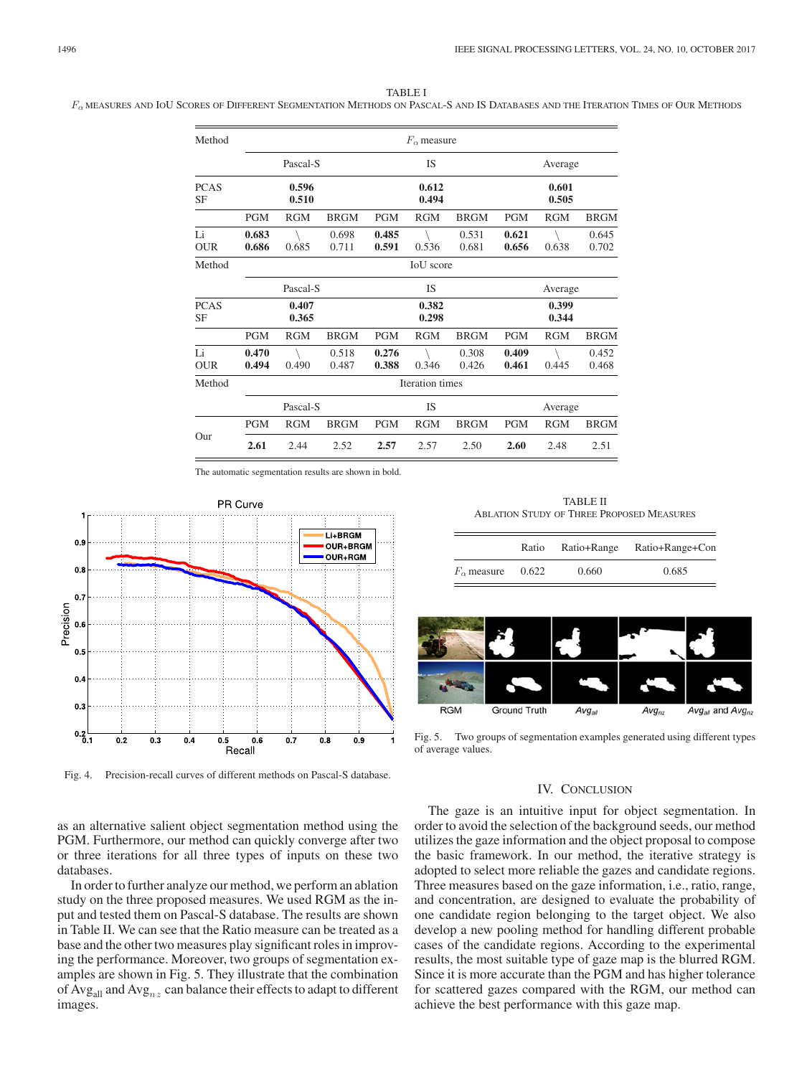### TABLE I

F<sub>a</sub> MEASURES AND IOU SCORES OF DIFFERENT SEGMENTATION METHODS ON PASCAL-S AND IS DATABASES AND THE ITERATION TIMES OF OUR METHODS

| Method                   | $F_{\alpha}$ measure |            |                |                |            |                |                |            |                |
|--------------------------|----------------------|------------|----------------|----------------|------------|----------------|----------------|------------|----------------|
|                          | Pascal-S             |            |                | IS             |            |                | Average        |            |                |
| <b>PCAS</b><br>SF        | 0.596<br>0.510       |            |                | 0.612<br>0.494 |            |                | 0.601<br>0.505 |            |                |
|                          | <b>PGM</b>           | <b>RGM</b> | <b>BRGM</b>    | <b>PGM</b>     | <b>RGM</b> | <b>BRGM</b>    | <b>PGM</b>     | <b>RGM</b> | <b>BRGM</b>    |
| Li<br><b>OUR</b>         | 0.683<br>0.686       | 0.685      | 0.698<br>0.711 | 0.485<br>0.591 | 0.536      | 0.531<br>0.681 | 0.621<br>0.656 | 0.638      | 0.645<br>0.702 |
| Method                   | <b>IoU</b> score     |            |                |                |            |                |                |            |                |
|                          | Pascal-S             |            |                | <b>IS</b>      |            |                | Average        |            |                |
| <b>PCAS</b><br><b>SF</b> | 0.407<br>0.365       |            |                | 0.382<br>0.298 |            |                | 0.399<br>0.344 |            |                |
|                          | <b>PGM</b>           | <b>RGM</b> | <b>BRGM</b>    | <b>PGM</b>     | <b>RGM</b> | <b>BRGM</b>    | <b>PGM</b>     | <b>RGM</b> | <b>BRGM</b>    |
| Li<br><b>OUR</b>         | 0.470<br>0.494       | 0.490      | 0.518<br>0.487 | 0.276<br>0.388 | 0.346      | 0.308<br>0.426 | 0.409<br>0.461 | 0.445      | 0.452<br>0.468 |
| Method                   | Iteration times      |            |                |                |            |                |                |            |                |
|                          | Pascal-S             |            |                | <b>IS</b>      |            |                | Average        |            |                |
|                          | <b>PGM</b>           | <b>RGM</b> | <b>BRGM</b>    | <b>PGM</b>     | <b>RGM</b> | <b>BRGM</b>    | <b>PGM</b>     | <b>RGM</b> | <b>BRGM</b>    |
| Our                      | 2.61                 | 2.44       | 2.52           | 2.57           | 2.57       | 2.50           | 2.60           | 2.48       | 2.51           |

The automatic segmentation results are shown in bold.



Fig. 4. Precision-recall curves of different methods on Pascal-S database.

as an alternative salient object segmentation method using the PGM. Furthermore, our method can quickly converge after two or three iterations for all three types of inputs on these two databases.

In order to further analyze our method, we perform an ablation study on the three proposed measures. We used RGM as the input and tested them on Pascal-S database. The results are shown in Table II. We can see that the Ratio measure can be treated as a base and the other two measures play significant roles in improving the performance. Moreover, two groups of segmentation examples are shown in Fig. 5. They illustrate that the combination of Avg<sub>all</sub> and Avg<sub>nz</sub> can balance their effects to adapt to different images.

TABLE II ABLATION STUDY OF THREE PROPOSED MEASURES

|                      | Ratio | Ratio+Range | Ratio+Range+Con |
|----------------------|-------|-------------|-----------------|
| $F_{\alpha}$ measure | 0.622 | 0.660       | 0.685           |



Fig. 5. Two groups of segmentation examples generated using different types of average values.

## IV. CONCLUSION

The gaze is an intuitive input for object segmentation. In order to avoid the selection of the background seeds, our method utilizes the gaze information and the object proposal to compose the basic framework. In our method, the iterative strategy is adopted to select more reliable the gazes and candidate regions. Three measures based on the gaze information, i.e., ratio, range, and concentration, are designed to evaluate the probability of one candidate region belonging to the target object. We also develop a new pooling method for handling different probable cases of the candidate regions. According to the experimental results, the most suitable type of gaze map is the blurred RGM. Since it is more accurate than the PGM and has higher tolerance for scattered gazes compared with the RGM, our method can achieve the best performance with this gaze map.